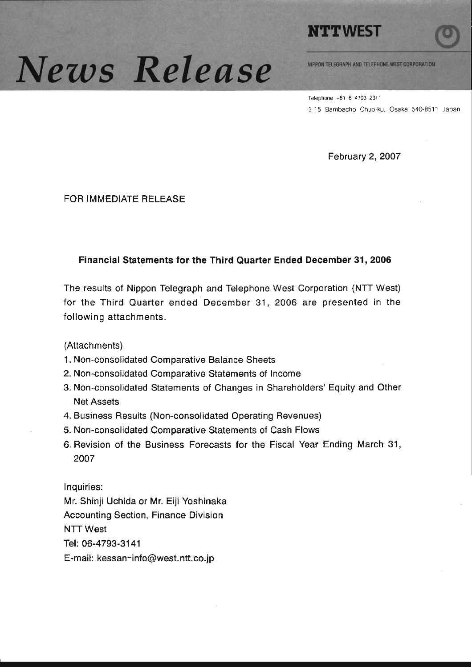

# News Release

NIPPON TELEGRAPH AND TELEPHONE WEST CORPORATION

Telephone +81 6 4793 2311 3-15 Bambacho Chuo-ku, Osaka 540-8511 Japan

February 2, 2007

**FOR IMMEDIATE RELEASE** 

#### Financial Statements for the Third Quarter Ended December 31, 2006

The results of Nippon Telegraph and Telephone West Corporation (NTT West) for the Third Quarter ended December 31, 2006 are presented in the following attachments.

(Attachments)

- 1. Non-consolidated Comparative Balance Sheets
- 2. Non-consolidated Comparative Statements of Income
- 3. Non-consolidated Statements of Changes in Shareholders' Equity and Other **Net Assets**
- 4. Business Results (Non-consolidated Operating Revenues)
- 5. Non-consolidated Comparative Statements of Cash Flows
- 6. Revision of the Business Forecasts for the Fiscal Year Ending March 31, 2007

Inquiries: Mr. Shinji Uchida or Mr. Eiji Yoshinaka **Accounting Section, Finance Division NTT West** Tel: 06-4793-3141 E-mail: kessan-info@west.ntt.co.jp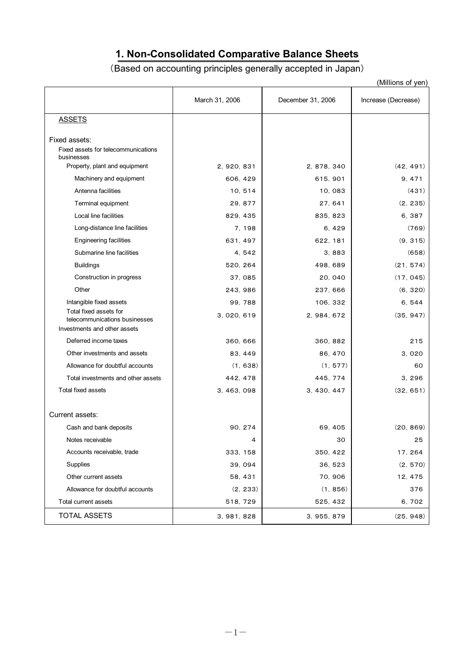# **1. Non-Consolidated Comparative Balance Sheets**

# (Based on accounting principles generally accepted in Japan)

|                                                               |                |                   | (Millions of yen)   |
|---------------------------------------------------------------|----------------|-------------------|---------------------|
|                                                               | March 31, 2006 | December 31, 2006 | Increase (Decrease) |
| <b>ASSETS</b>                                                 |                |                   |                     |
|                                                               |                |                   |                     |
| Fixed assets:<br>Fixed assets for telecommunications          |                |                   |                     |
| businesses                                                    |                |                   |                     |
| Property, plant and equipment                                 | 2, 920, 831    | 2, 878, 340       | (42, 491)           |
| Machinery and equipment                                       | 606, 429       | 615, 901          | 9, 471              |
| Antenna facilities                                            | 10, 514        | 10,083            | (431)               |
| Terminal equipment                                            | 29, 877        | 27, 641           | (2, 235)            |
| Local line facilities                                         | 829, 435       | 835, 823          | 6, 387              |
| Long-distance line facilities                                 | 7, 198         | 6, 429            | (769)               |
| <b>Engineering facilities</b>                                 | 631, 497       | 622, 181          | (9, 315)            |
| Submarine line facilities                                     | 4, 542         | 3,883             | (658)               |
| <b>Buildings</b>                                              | 520, 264       | 498, 689          | (21, 574)           |
| Construction in progress                                      | 37,085         | 20, 040           | (17, 045)           |
| Other                                                         | 243, 986       | 237, 666          | (6, 320)            |
| Intangible fixed assets                                       | 99, 788        | 106, 332          | 6, 544              |
| Total fixed assets for                                        | 3, 020, 619    | 2, 984, 672       | (35, 947)           |
| telecommunications businesses<br>Investments and other assets |                |                   |                     |
| Deferred income taxes                                         | 360, 666       | 360, 882          | 215                 |
| Other investments and assets                                  | 83, 449        | 86, 470           | 3,020               |
| Allowance for doubtful accounts                               | (1, 638)       | (1, 577)          | 60                  |
| Total investments and other assets                            | 442, 478       | 445, 774          | 3, 296              |
| Total fixed assets                                            | 3, 463, 098    | 3, 430, 447       | (32, 651)           |
|                                                               |                |                   |                     |
| Current assets:                                               |                |                   |                     |
| Cash and bank deposits                                        | 90, 274        | 69, 405           | (20, 869)           |
| Notes receivable                                              | 4              | 30                | 25                  |
| Accounts receivable, trade                                    | 333, 158       | 350, 422          | 17, 264             |
| Supplies                                                      | 39, 094        | 36, 523           | (2, 570)            |
| Other current assets                                          | 58, 431        | 70, 906           | 12, 475             |
| Allowance for doubtful accounts                               | (2, 233)       | (1, 856)          | 376                 |
| Total current assets                                          | 518, 729       | 525, 432          | 6,702               |
| <b>TOTAL ASSETS</b>                                           | 3, 981, 828    | 3, 955, 879       | (25, 948)           |
|                                                               |                |                   |                     |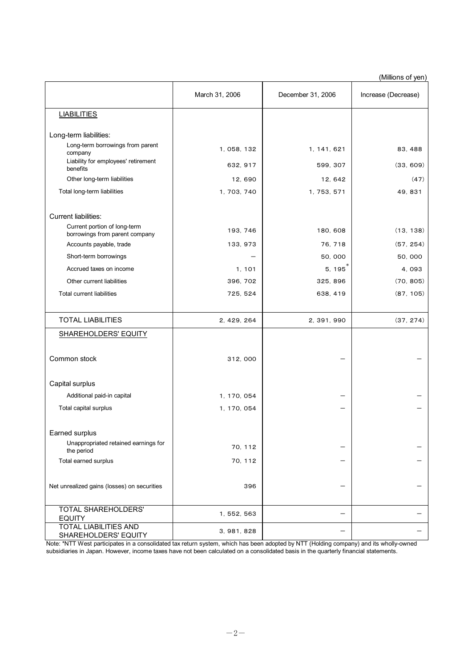(Millions of yen)

|                                                                |                |                   | , וישן יש טושוויין  |
|----------------------------------------------------------------|----------------|-------------------|---------------------|
|                                                                | March 31, 2006 | December 31, 2006 | Increase (Decrease) |
| <b>LIABILITIES</b>                                             |                |                   |                     |
| Long-term liabilities:                                         |                |                   |                     |
| Long-term borrowings from parent<br>company                    | 1, 058, 132    | 1, 141, 621       | 83, 488             |
| Liability for employees' retirement<br>benefits                | 632, 917       | 599, 307          | (33, 609)           |
| Other long-term liabilities                                    | 12,690         | 12, 642           | (47)                |
| Total long-term liabilities                                    | 1, 703, 740    | 1, 753, 571       | 49, 831             |
| Current liabilities:                                           |                |                   |                     |
| Current portion of long-term<br>borrowings from parent company | 193, 746       | 180, 608          | (13, 138)           |
| Accounts payable, trade                                        | 133, 973       | 76, 718           | (57, 254)           |
| Short-term borrowings                                          |                | 50,000            | 50,000              |
| Accrued taxes on income                                        | 1, 101         | 5, 195            | 4,093               |
| Other current liabilities                                      | 396, 702       | 325, 896          | (70, 805)           |
| <b>Total current liabilities</b>                               | 725, 524       | 638, 419          | (87, 105)           |
|                                                                |                |                   |                     |
| <b>TOTAL LIABILITIES</b>                                       | 2, 429, 264    | 2, 391, 990       | (37, 274)           |
| <b>SHAREHOLDERS' EQUITY</b>                                    |                |                   |                     |
| Common stock                                                   | 312,000        |                   |                     |
| Capital surplus                                                |                |                   |                     |
| Additional paid-in capital                                     | 1, 170, 054    |                   |                     |
| Total capital surplus                                          | 1, 170, 054    |                   |                     |
| Earned surplus                                                 |                |                   |                     |
| Unappropriated retained earnings for<br>the period             | 70, 112        |                   |                     |
| Total earned surplus                                           | 70, 112        |                   |                     |
| Net unrealized gains (losses) on securities                    | 396            |                   |                     |
| TOTAL SHAREHOLDERS'<br><b>EQUITY</b>                           | 1, 552, 563    |                   |                     |
| <b>TOTAL LIABILITIES AND</b><br>SHAREHOLDERS' EQUITY           | 3, 981, 828    |                   |                     |

Note: \*NTT West participates in a consolidated tax return system, which has been adopted by NTT (Holding company) and its wholly-owned subsidiaries in Japan. However, income taxes have not been calculated on a consolidated basis in the quarterly financial statements.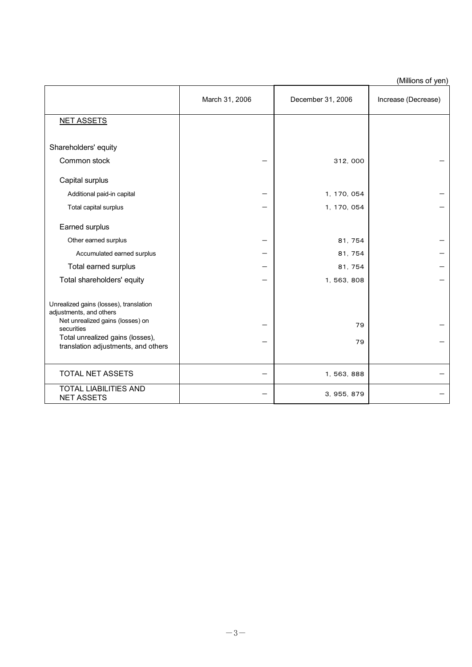|  | (Millions of yen) |  |
|--|-------------------|--|
|  |                   |  |

|                                                                                                                                                         | March 31, 2006 | December 31, 2006 | Increase (Decrease) |
|---------------------------------------------------------------------------------------------------------------------------------------------------------|----------------|-------------------|---------------------|
| <b>NET ASSETS</b>                                                                                                                                       |                |                   |                     |
| Shareholders' equity<br>Common stock<br>Capital surplus                                                                                                 |                | 312, 000          |                     |
| Additional paid-in capital                                                                                                                              |                | 1, 170, 054       |                     |
| Total capital surplus                                                                                                                                   |                | 1, 170, 054       |                     |
| Earned surplus                                                                                                                                          |                |                   |                     |
| Other earned surplus                                                                                                                                    |                | 81, 754           |                     |
| Accumulated earned surplus                                                                                                                              |                | 81, 754           |                     |
| Total earned surplus                                                                                                                                    |                | 81, 754           |                     |
| Total shareholders' equity                                                                                                                              |                | 1, 563, 808       |                     |
| Unrealized gains (losses), translation<br>adjustments, and others<br>Net unrealized gains (losses) on<br>securities<br>Total unrealized gains (losses), |                | 79                |                     |
| translation adjustments, and others                                                                                                                     |                | 79                |                     |
| <b>TOTAL NET ASSETS</b>                                                                                                                                 |                | 1, 563, 888       |                     |
| <b>TOTAL LIABILITIES AND</b><br><b>NET ASSETS</b>                                                                                                       |                | 3, 955, 879       |                     |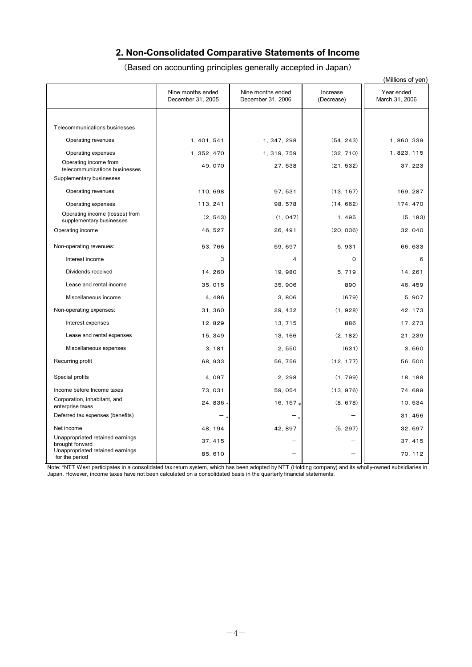## **2. Non-Consolidated Comparative Statements of Income**

|                                                            |                                        |                                        |                        | (Millions of yen)            |
|------------------------------------------------------------|----------------------------------------|----------------------------------------|------------------------|------------------------------|
|                                                            | Nine months ended<br>December 31, 2005 | Nine months ended<br>December 31, 2006 | Increase<br>(Decrease) | Year ended<br>March 31, 2006 |
|                                                            |                                        |                                        |                        |                              |
| Telecommunications businesses                              |                                        |                                        |                        |                              |
| Operating revenues                                         | 1, 401, 541                            | 1, 347, 298                            | (54, 243)              | 1, 860, 339                  |
| Operating expenses                                         | 1, 352, 470                            | 1, 319, 759                            | (32, 710)              | 1, 823, 115                  |
| Operating income from<br>telecommunications businesses     | 49, 070                                | 27, 538                                | (21, 532)              | 37, 223                      |
| Supplementary businesses                                   |                                        |                                        |                        |                              |
| Operating revenues                                         | 110, 698                               | 97, 531                                | (13, 167)              | 169, 287                     |
| Operating expenses                                         | 113, 241                               | 98, 578                                | (14, 662)              | 174, 470                     |
| Operating income (losses) from<br>supplementary businesses | (2, 543)                               | (1, 047)                               | 1,495                  | (5, 183)                     |
| Operating income                                           | 46, 527                                | 26, 491                                | (20, 036)              | 32, 040                      |
| Non-operating revenues:                                    | 53, 766                                | 59, 697                                | 5,931                  | 66, 633                      |
| Interest income                                            | 3                                      | 4                                      | $\mathsf{o}$           | 6                            |
| Dividends received                                         | 14, 260                                | 19,980                                 | 5, 719                 | 14, 261                      |
| Lease and rental income                                    | 35, 015                                | 35, 906                                | 890                    | 46, 459                      |
| Miscellaneous income                                       | 4,486                                  | 3,806                                  | (679)                  | 5,907                        |
| Non-operating expenses:                                    | 31, 360                                | 29, 432                                | (1, 928)               | 42, 173                      |
| Interest expenses                                          | 12, 829                                | 13, 715                                | 886                    | 17, 273                      |
| Lease and rental expenses                                  | 15, 349                                | 13, 166                                | (2, 182)               | 21, 239                      |
| Miscellaneous expenses                                     | 3.181                                  | 2.550                                  | (631)                  | 3.660                        |
| Recurring profit                                           | 68, 933                                | 56, 756                                | (12, 177)              | 56, 500                      |
| Special profits                                            | 4,097                                  | 2.298                                  | (1, 799)               | 18, 188                      |
| Income before Income taxes                                 | 73, 031                                | 59, 054                                | (13, 976)              | 74,689                       |
| Corporation, inhabitant, and<br>enterprise taxes           | 24, 836 *                              | 16, 157 $*$                            | (8, 678)               | 10, 534                      |
| Deferred tax expenses (benefits)                           |                                        |                                        |                        | 31.456                       |
| Net income                                                 | 48, 194                                | 42, 897                                | (5, 297)               | 32, 697                      |
| Unappropriated retained earnings<br>brought forward        | 37, 415                                |                                        |                        | 37, 415                      |
| Unappropriated retained earnings<br>for the period         | 85, 610                                |                                        |                        | 70, 112                      |

Note: \*NTT West participates in a consolidated tax return system, which has been adopted by NTT (Holding company) and its wholly-owned subsidiaries in Japan. However, income taxes have not been calculated on a consolidated basis in the quarterly financial statements.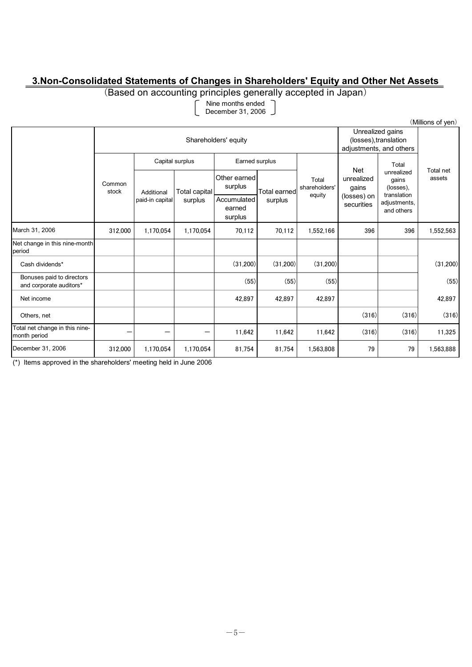### **3.Non-Consolidated Statements of Changes in Shareholders' Equity and Other Net Assets**

(Based on accounting principles generally accepted in Japan)

Nine months ended

December 31, 2006

|                                                      | (Millions of yen) |                                   |                          |                                  |                     |                                                                      |                            |                                                 |                     |
|------------------------------------------------------|-------------------|-----------------------------------|--------------------------|----------------------------------|---------------------|----------------------------------------------------------------------|----------------------------|-------------------------------------------------|---------------------|
| Shareholders' equity                                 |                   |                                   |                          |                                  |                     | Unrealized gains<br>(losses), translation<br>adjustments, and others |                            |                                                 |                     |
|                                                      |                   | Capital surplus<br>Earned surplus |                          |                                  |                     |                                                                      | Total                      |                                                 |                     |
|                                                      | Common<br>stock   | Additional<br>paid-in capital     | Total capital<br>surplus | Other earned<br>surplus          | <b>Total earned</b> | Total<br>shareholders'<br>equity                                     | Net<br>unrealized<br>gains | unrealized<br>gains<br>(losses).<br>translation | Total net<br>assets |
|                                                      |                   |                                   |                          | Accumulated<br>earned<br>surplus | surplus             |                                                                      | (losses) on<br>securities  | adjustments,<br>and others                      |                     |
| March 31, 2006                                       | 312,000           | 1,170,054                         | 1,170,054                | 70,112                           | 70,112              | 1,552,166                                                            | 396                        | 396                                             | 1,552,563           |
| Net change in this nine-month<br>period              |                   |                                   |                          |                                  |                     |                                                                      |                            |                                                 |                     |
| Cash dividends*                                      |                   |                                   |                          | (31,200)                         | (31.200)            | (31,200)                                                             |                            |                                                 | (31,200)            |
| Bonuses paid to directors<br>and corporate auditors* |                   |                                   |                          | (55)                             | (55)                | (55)                                                                 |                            |                                                 | (55)                |
| Net income                                           |                   |                                   |                          | 42.897                           | 42.897              | 42.897                                                               |                            |                                                 | 42,897              |
| Others, net                                          |                   |                                   |                          |                                  |                     |                                                                      | (316)                      | (316)                                           | (316)               |
| Total net change in this nine-<br>month period       |                   |                                   | –                        | 11,642                           | 11,642              | 11,642                                                               | (316)                      | (316)                                           | 11,325              |
| December 31, 2006                                    | 312,000           | 1,170,054                         | 1,170,054                | 81,754                           | 81,754              | 1,563,808                                                            | 79                         | 79                                              | 1,563,888           |

(\*) Items approved in the shareholders' meeting held in June 2006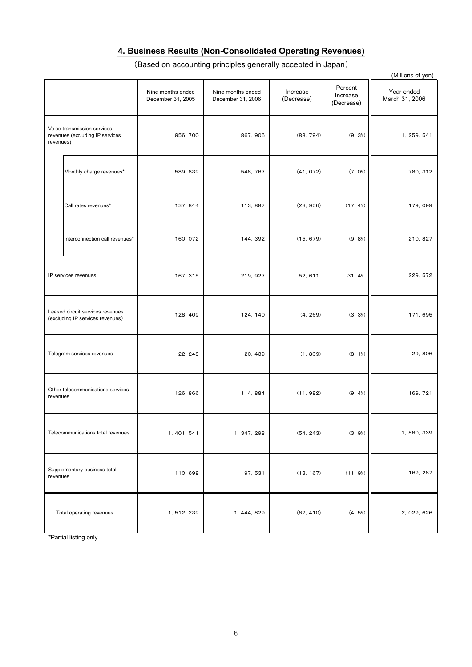## **4. Business Results (Non-Consolidated Operating Revenues)**

(Based on accounting principles generally accepted in Japan)

|           |                                                                      |                                        |                                        |                        |                                   | (Millions of yen)            |
|-----------|----------------------------------------------------------------------|----------------------------------------|----------------------------------------|------------------------|-----------------------------------|------------------------------|
|           |                                                                      | Nine months ended<br>December 31, 2005 | Nine months ended<br>December 31, 2006 | Increase<br>(Decrease) | Percent<br>Increase<br>(Decrease) | Year ended<br>March 31, 2006 |
| revenues) | Voice transmission services<br>revenues (excluding IP services       | 956, 700                               | 867, 906                               | (88, 794)              | $(9.3\%)$                         | 1, 259, 541                  |
|           | Monthly charge revenues*                                             | 589, 839                               | 548, 767                               | (41, 072)              | (7.0%                             | 780, 312                     |
|           | Call rates revenues*                                                 | 137, 844                               | 113, 887                               | (23, 956)              | (17.4%)                           | 179, 099                     |
|           | Interconnection call revenues*                                       | 160, 072                               | 144, 392                               | (15, 679)              | (9.8%)                            | 210, 827                     |
|           | IP services revenues                                                 | 167, 315                               | 219, 927                               | 52, 611                | 31.4%                             | 229, 572                     |
|           | Leased circuit services revenues<br>(excluding IP services revenues) | 128, 409                               | 124, 140                               | (4, 269)               | $(3.3\%)$                         | 171, 695                     |
|           | Telegram services revenues                                           | 22, 248                                | 20, 439                                | (1, 809)               | $(8.1\%)$                         | 29, 806                      |
| revenues  | Other telecommunications services                                    | 126, 866                               | 114, 884                               | (11, 982)              | $(9, 4\%)$                        | 169, 721                     |
|           | Telecommunications total revenues                                    | 1, 401, 541                            | 1, 347, 298                            | (54, 243)              | (3.9%)                            | 1, 860, 339                  |
| revenues  | Supplementary business total                                         | 110, 698                               | 97, 531                                | (13, 167)              | (11.9%)                           | 169, 287                     |
|           | Total operating revenues                                             | 1, 512, 239                            | 1, 444, 829                            | (67, 410)              | (4.5%)                            | 2, 029, 626                  |

\*Partial listing only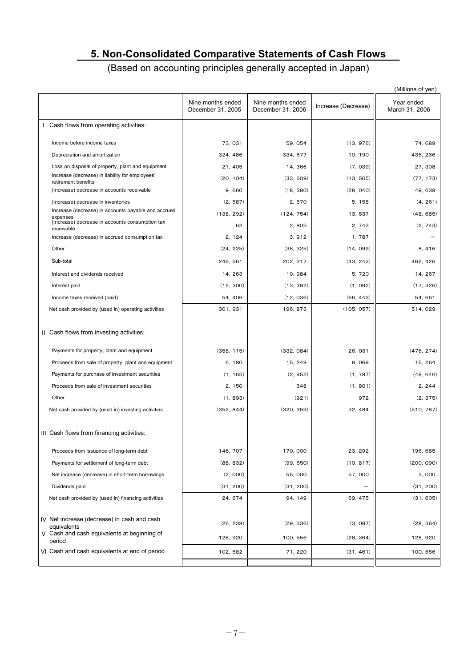# **5. Non-Consolidated Comparative Statements of Cash Flows**

(Based on accounting principles generally accepted in Japan)

|                                                                        |                                        |                                        |                     | (Millions of yen)            |
|------------------------------------------------------------------------|----------------------------------------|----------------------------------------|---------------------|------------------------------|
|                                                                        | Nine months ended<br>December 31, 2005 | Nine months ended<br>December 31, 2006 | Increase (Decrease) | Year ended<br>March 31, 2006 |
| I Cash flows from operating activities:                                |                                        |                                        |                     |                              |
| Income before income taxes                                             | 73, 031                                | 59, 054                                | (13, 976)           | 74, 689                      |
| Depreciation and amortization                                          | 324, 486                               | 334, 677                               | 10, 190             | 435, 236                     |
| Loss on disposal of property, plant and equipment                      | 21, 405                                | 14, 366                                | (7, 039)            | 27.308                       |
| Increase (decrease) in liability for employees'<br>retirement benefits | (20, 104)                              | (33, 609)                              | (13, 505)           | (77, 173)                    |
| (Increase) decrease in accounts receivable                             | 9,660                                  | (18, 380)                              | (28, 040)           | 49, 638                      |
| (Increase) decrease in inventories                                     | (2, 587)                               | 2,570                                  | 5, 158              | (4, 261)                     |
| Increase (decrease) in accounts payable and accrued<br>expenses        | (138, 292)                             | (124, 754)                             | 13, 537             | (48, 685)                    |
| (Increase) decrease in accounts consumption tax<br>receivable          | 62                                     | 2,805                                  | 2, 743              | (2, 743)                     |
| Increase (decrease) in accrued consumption tax                         | 2, 124                                 | 3,912                                  | 1,787               |                              |
| Other                                                                  | (24, 225)                              | (38, 325)                              | (14, 099)           | 8, 416                       |
| Sub-total                                                              | 245, 561                               | 202, 317                               | (43, 243)           | 462, 426                     |
| Interest and dividends received                                        | 14.263                                 | 19, 984                                | 5, 720              | 14, 267                      |
| Interest paid                                                          | (12, 300)                              | (13, 392)                              | (1, 092)            | (17, 326)                    |
| Income taxes received (paid)                                           | 54, 406                                | (12, 036)                              | (66, 443)           | 54, 661                      |
| Net cash provided by (used in) operating activities                    | 301, 931                               | 196, 873                               | (105, 057)          | 514, 029                     |
| II Cash flows from investing activities:                               |                                        |                                        |                     |                              |
| Payments for property, plant and equipment                             | (358, 115)                             | (332, 084)                             | 26, 031             | (476, 274)                   |
| Proceeds from sale of property, plant and equipment                    | 6, 180                                 | 15, 249                                | 9,069               | 15, 264                      |
| Payments for purchase of investment securities                         | (1, 165)                               | (2, 952)                               | (1, 787)            | (49, 646)                    |
| Proceeds from sale of investment securities                            | 2, 150                                 | 348                                    | (1, 801)            | 2, 244                       |
| Other                                                                  | (1, 893)                               | (921)                                  | 972                 | (2, 375)                     |
| Net cash provided by (used in) investing activities                    | (352, 844)                             | (320, 359)                             | 32, 484             | (510, 787)                   |
| III Cash flows from financing activities:                              |                                        |                                        |                     |                              |
| Proceeds from issuance of long-term debt                               | 146, 707                               | 170, 000                               | 23, 292             | 196, 685                     |
| Payments for settlement of long-term debt                              | (88, 832)                              | (99, 650)                              | (10, 817)           | (200, 090)                   |
| Net increase (decrease) in short-term borrowings                       | (2, 000)                               | 55,000                                 | 57,000              | 3,000                        |
| Dividends paid                                                         | (31, 200)                              | (31, 200)                              |                     | (31, 200)                    |
| Net cash provided by (used in) financing activities                    | 24, 674                                | 94, 149                                | 69, 475             | (31, 605)                    |
| IV Net increase (decrease) in cash and cash<br>equivalents             | (26, 238)                              | (29, 336)                              | (3, 097)            | (28, 364)                    |
| V Cash and cash equivalents at beginning of<br>period                  | 128, 920                               | 100, 556                               | (28, 364)           | 128, 920                     |
| VI Cash and cash equivalents at end of period                          | 102, 682                               | 71, 220                                | (31, 461)           | 100, 556                     |
|                                                                        |                                        |                                        |                     |                              |